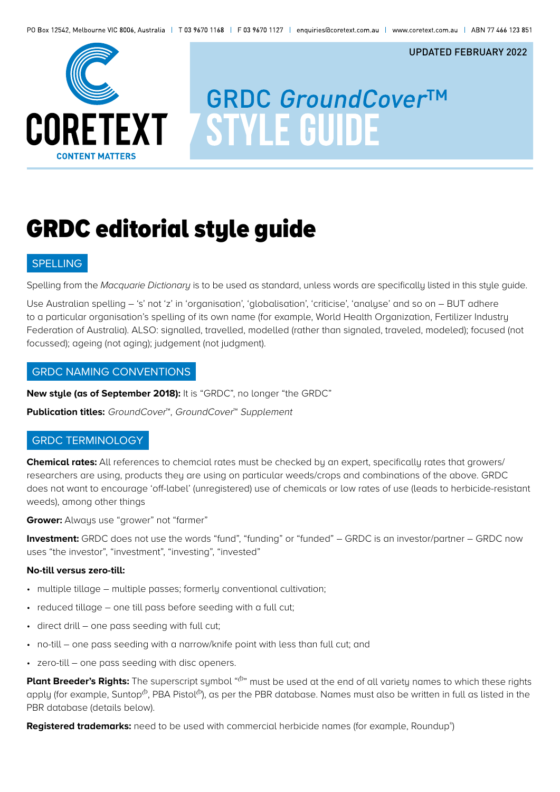

# **GRDC GroundCover™ STYLE GUIDE**

UPDATED FEBRUARY 2022

## GRDC editorial style guide

### SPELLING

Spelling from the *Macquarie Dictionary* is to be used as standard, unless words are specifically listed in this style guide.

Use Australian spelling – 's' not 'z' in 'organisation', 'globalisation', 'criticise', 'analyse' and so on – BUT adhere to a particular organisation's spelling of its own name (for example, World Health Organization, Fertilizer Industry Federation of Australia). ALSO: signalled, travelled, modelled (rather than signaled, traveled, modeled); focused (not focussed); ageing (not aging); judgement (not judgment).

### GRDC NAMING CONVENTIONS

**New style (as of September 2018):** It is "GRDC", no longer "the GRDC"

Publication titles: GroundCover<sup>™</sup>, GroundCover<sup>™</sup> Supplement

## GRDC TERMINOLOGY

**Chemical rates:** All references to chemcial rates must be checked by an expert, specifically rates that growers/ researchers are using, products they are using on particular weeds/crops and combinations of the above. GRDC does not want to encourage 'off-label' (unregistered) use of chemicals or low rates of use (leads to herbicide-resistant weeds), among other things

**Grower:** Alwaus use "grower" not "farmer"

**Investment:** GRDC does not use the words "fund", "funding" or "funded" – GRDC is an investor/partner – GRDC now uses "the investor", "investment", "investing", "invested"

#### **No-till versus zero-till:**

- multiple tillage multiple passes; formerly conventional cultivation;
- reduced tillage one till pass before seeding with a full cut;
- direct drill one pass seeding with full cut;
- no-till one pass seeding with a narrow/knife point with less than full cut; and
- zero-till one pass seeding with disc openers.

Plant Breeder's Rights: The superscript symbol "(b)" must be used at the end of all variety names to which these rights apply (for example, Suntop<sup> $\phi$ </sup>, PBA Pistol $\phi$ ), as per the PBR database. Names must also be written in full as listed in the PBR database (details below).

**Registered trademarks:** need to be used with commercial herbicide names (for example, Roundup® )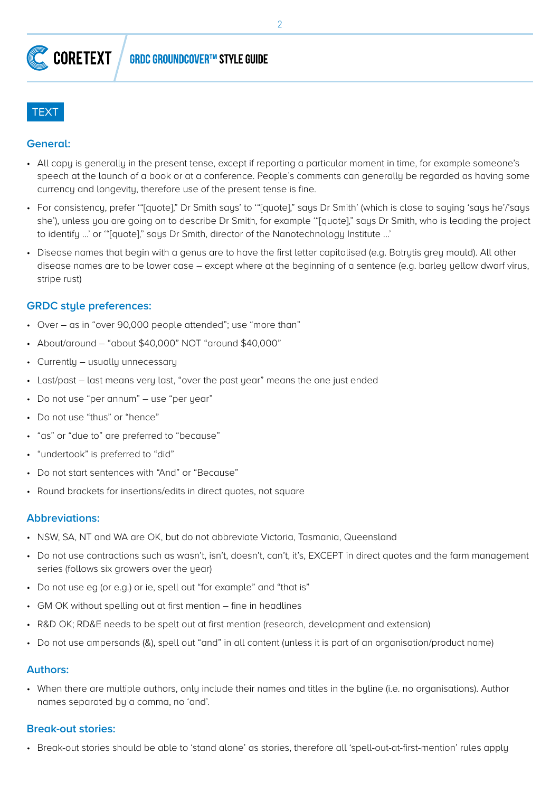

### **General:**

- All copy is generally in the present tense, except if reporting a particular moment in time, for example someone's speech at the launch of a book or at a conference. People's comments can generally be regarded as having some currency and longevity, therefore use of the present tense is fine.
- For consistency, prefer '"[quote]," Dr Smith says' to '"[quote]," says Dr Smith' (which is close to saying 'says he'/'says she'), unless you are going on to describe Dr Smith, for example '"[quote]," says Dr Smith, who is leading the project to identify ...' or '"[quote]," says Dr Smith, director of the Nanotechnology Institute ...'
- Disease names that begin with a genus are to have the first letter capitalised (e.g. Botrytis grey mould). All other disease names are to be lower case – except where at the beginning of a sentence (e.g. barley yellow dwarf virus, stripe rust)

## **GRDC style preferences:**

- Over as in "over 90,000 people attended"; use "more than"
- About/around "about \$40,000" NOT "around \$40,000"
- Currently usually unnecessary
- Last/past last means very last, "over the past year" means the one just ended
- Do not use "per annum" use "per year"
- Do not use "thus" or "hence"
- "as" or "due to" are preferred to "because"
- "undertook" is preferred to "did"
- Do not start sentences with "And" or "Because"
- Round brackets for insertions/edits in direct quotes, not square

## **Abbreviations:**

- NSW, SA, NT and WA are OK, but do not abbreviate Victoria, Tasmania, Queensland
- Do not use contractions such as wasn't, isn't, doesn't, can't, it's, EXCEPT in direct quotes and the farm management series (follows six growers over the year)
- Do not use eg (or e.g.) or ie, spell out "for example" and "that is"
- GM OK without spelling out at first mention fine in headlines
- R&D OK; RD&E needs to be spelt out at first mention (research, development and extension)
- Do not use ampersands (&), spell out "and" in all content (unless it is part of an organisation/product name)

## **Authors:**

• When there are multiple authors, only include their names and titles in the byline (i.e. no organisations). Author names separated by a comma, no 'and'.

## **Break-out stories:**

• Break-out stories should be able to 'stand alone' as stories, therefore all 'spell-out-at-first-mention' rules apply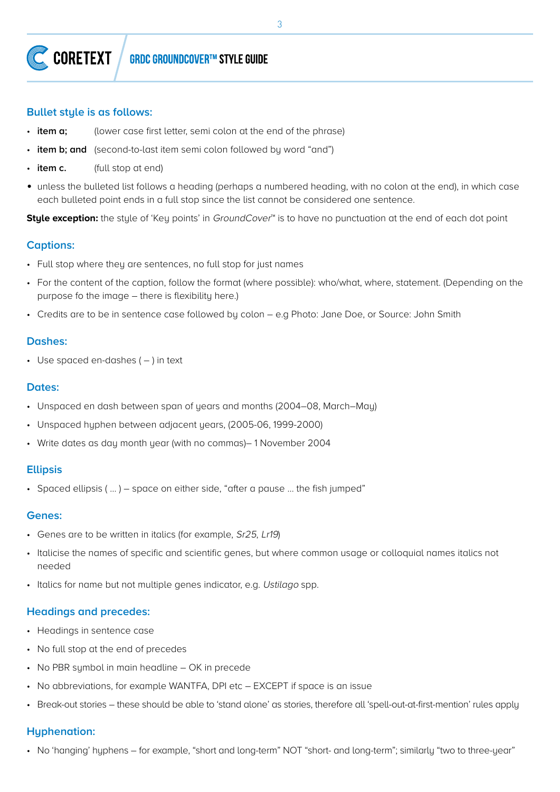3

#### **CORETEXT** GRDC GROUNDCOVER™ STYLE GUIDE

### **Bullet style is as follows:**

- **item a;** (lower case first letter, semi colon at the end of the phrase)
- **item b; and** (second-to-last item semi colon followed by word "and")
- **item c.** (full stop at end)
- unless the bulleted list follows a heading (perhaps a numbered heading, with no colon at the end), in which case each bulleted point ends in a full stop since the list cannot be considered one sentence.

**Style exception:** the style of 'Key points' in *GroundCover*<sup>™</sup> is to have no punctuation at the end of each dot point

## **Captions:**

- Full stop where they are sentences, no full stop for just names
- For the content of the caption, follow the format (where possible): who/what, where, statement. (Depending on the purpose fo the image – there is flexibility here.)
- Credits are to be in sentence case followed by colon e.g Photo: Jane Doe, or Source: John Smith

## **Dashes:**

 $\cdot$  Use spaced en-dashes ( $-$ ) in text

## **Dates:**

- Unspaced en dash between span of years and months (2004–08, March–May)
- Unspaced hyphen between adjacent years, (2005-06, 1999-2000)
- Write dates as day month year (with no commas)– 1 November 2004

## **Ellipsis**

• Spaced ellipsis ( … ) – space on either side, "after a pause … the fish jumped"

#### **Genes:**

- Genes are to be written in italics (for example, Sr25, Lr19)
- Italicise the names of specific and scientific genes, but where common usage or colloquial names italics not needed
- Italics for name but not multiple genes indicator, e.g. Ustilago spp.

## **Headings and precedes:**

- Headings in sentence case
- No full stop at the end of precedes
- No PBR symbol in main headline OK in precede
- No abbreviations, for example WANTFA, DPI etc EXCEPT if space is an issue
- Break-out stories these should be able to 'stand alone' as stories, therefore all 'spell-out-at-first-mention' rules apply

## **Hyphenation:**

• No 'hanging' hyphens – for example, "short and long-term" NOT "short- and long-term"; similarly "two to three-year"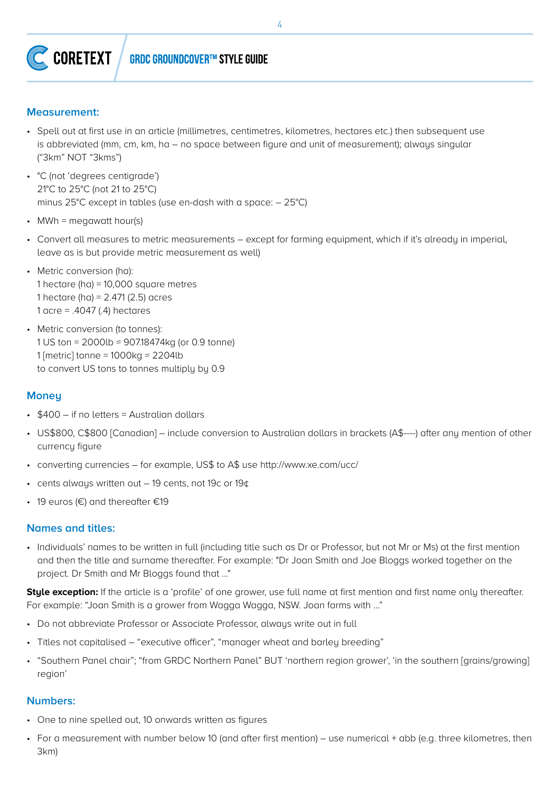

## **GRDC GROUNDCOVER™ STYLE GUIDE**

### **Measurement:**

- Spell out at first use in an article (millimetres, centimetres, kilometres, hectares etc.) then subsequent use is abbreviated (mm, cm, km, ha – no space between figure and unit of measurement); always singular ("3km" NOT "3kms")
- °C (not 'degrees centigrade') 21°C to 25°C (not 21 to 25°C) minus 25°C except in tables (use en-dash with a space: – 25°C)
- MWh = megawatt hour(s)
- Convert all measures to metric measurements except for farming equipment, which if it's already in imperial, leave as is but provide metric measurement as well)
- Metric conversion (ha): 1 hectare (ha) = 10,000 square metres 1 hectare (ha) =  $2.471$  (2.5) acres 1 acre = .4047 (.4) hectares
- Metric conversion (to tonnes): 1 US ton = 2000lb ≈ 907.18474kg (or 0.9 tonne) 1 [metric] tonne =  $1000kg \approx 2204lb$ to convert US tons to tonnes multiply by 0.9

#### **Money**

- \$400 if no letters = Australian dollars
- US\$800, C\$800 [Canadian] include conversion to Australian dollars in brackets (A\$----) after any mention of other currency figure
- converting currencies for example, US\$ to A\$ use http://www.xe.com/ucc/
- cents always written out 19 cents, not 19c or 19¢
- 19 euros (€) and thereafter €19

#### **Names and titles:**

• Individuals' names to be written in full (including title such as Dr or Professor, but not Mr or Ms) at the first mention and then the title and surname thereafter. For example: "Dr Joan Smith and Joe Bloggs worked together on the project. Dr Smith and Mr Bloggs found that ..."

**Style exception:** If the article is a 'profile' of one grower, use full name at first mention and first name only thereafter. For example: "Joan Smith is a grower from Wagga Wagga, NSW. Joan farms with ..."

- Do not abbreviate Professor or Associate Professor, always write out in full
- Titles not capitalised "executive officer", "manager wheat and barley breeding"
- "Southern Panel chair"; "from GRDC Northern Panel" BUT 'northern region grower', 'in the southern [grains/growing] region'

#### **Numbers:**

- One to nine spelled out, 10 onwards written as figures
- For a measurement with number below 10 (and after first mention) use numerical + abb (e.g. three kilometres, then 3km)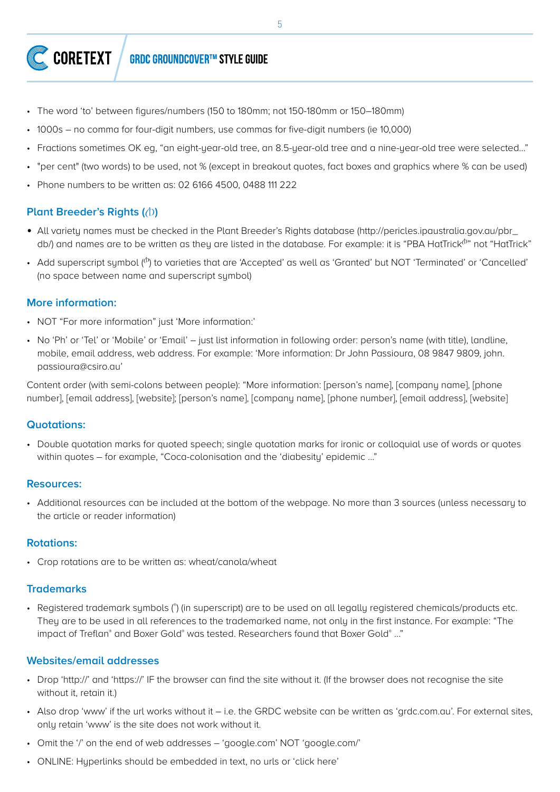#### CORETEXT **GRDC GROUNDCOVER™ STYLE GUIDE**

- The word 'to' between figures/numbers (150 to 180mm; not 150-180mm or 150–180mm)
- 1000s no comma for four-digit numbers, use commas for five-digit numbers (ie 10,000)
- Fractions sometimes OK eg, "an eight-year-old tree, an 8.5-year-old tree and a nine-year-old tree were selected…"
- "per cent" (two words) to be used, not % (except in breakout quotes, fact boxes and graphics where % can be used)
- Phone numbers to be written as: 02 6166 4500, 0488 111 222

## **Plant Breeder's Rights (** $\Diamond$ **)**

- All variety names must be checked in the Plant Breeder's Rights database (http://pericles.ipaustralia.gov.au/pbr\_ db/) and names are to be written as they are listed in the database. For example: it is "PBA HatTrick<sup>®</sup>" not "HatTrick"
- Add superscript symbol  $(0)$  to varieties that are 'Accepted' as well as 'Granted' but NOT 'Terminated' or 'Cancelled' (no space between name and superscript symbol)

## **More information:**

- NOT "For more information" just 'More information:'
- No 'Ph' or 'Tel' or 'Mobile' or 'Email' just list information in following order: person's name (with title), landline, mobile, email address, web address. For example: 'More information: Dr John Passioura, 08 9847 9809, john. passioura@csiro.au'

Content order (with semi-colons between people): "More information: [person's name], [company name], [phone number], [email address], [website]; [person's name], [company name], [phone number], [email address], [website]

## **Quotations:**

• Double quotation marks for quoted speech; single quotation marks for ironic or colloquial use of words or quotes within quotes – for example, "Coca-colonisation and the 'diabesity' epidemic ..."

## **Resources:**

• Additional resources can be included at the bottom of the webpage. No more than 3 sources (unless necessary to the article or reader information)

## **Rotations:**

• Crop rotations are to be written as: wheat/canola/wheat

## **Trademarks**

• Registered trademark symbols (\*) (in superscript) are to be used on all legally registered chemicals/products etc. They are to be used in all references to the trademarked name, not only in the first instance. For example: "The impact of Treflan® and Boxer Gold® was tested. Researchers found that Boxer Gold® ..."

## **Websites/email addresses**

- Drop 'http://' and 'https://' IF the browser can find the site without it. (If the browser does not recognise the site without it, retain it.)
- Also drop 'www' if the url works without it i.e. the GRDC website can be written as 'grdc.com.au'. For external sites, only retain 'www' is the site does not work without it.
- Omit the '/' on the end of web addresses 'google.com' NOT 'google.com/'
- ONLINE: Hyperlinks should be embedded in text, no urls or 'click here'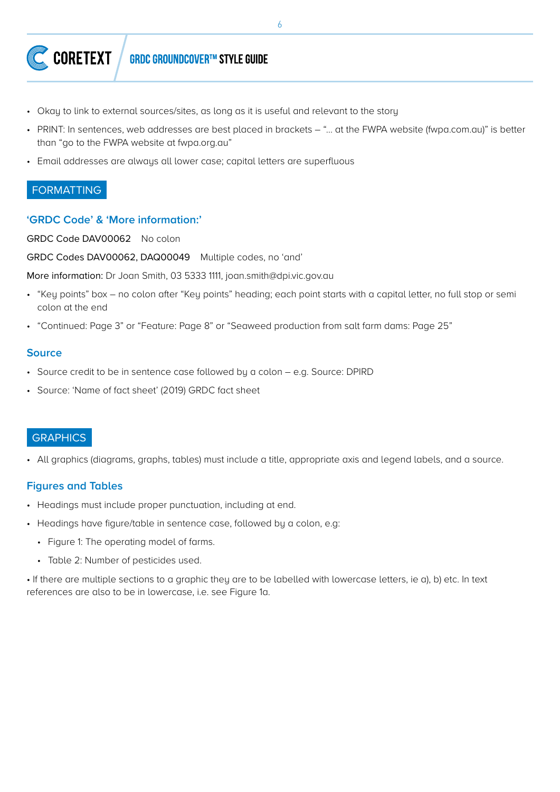

- Okay to link to external sources/sites, as long as it is useful and relevant to the story
- PRINT: In sentences, web addresses are best placed in brackets "… at the FWPA website (fwpa.com.au)" is better than "go to the FWPA website at fwpa.org.au"
- Email addresses are always all lower case; capital letters are superfluous

## FORMATTING

### **'GRDC Code' & 'More information:'**

GRDC Code DAV00062 No colon

GRDC Codes DAV00062, DAQ00049 Multiple codes, no 'and'

More information: Dr Joan Smith, 03 5333 1111, joan.smith@dpi.vic.gov.au

- "Key points" box no colon after "Key points" heading; each point starts with a capital letter, no full stop or semi colon at the end
- "Continued: Page 3" or "Feature: Page 8" or "Seaweed production from salt farm dams: Page 25"

#### **Source**

- Source credit to be in sentence case followed by a colon e.g. Source: DPIRD
- Source: 'Name of fact sheet' (2019) GRDC fact sheet

## **GRAPHICS**

• All graphics (diagrams, graphs, tables) must include a title, appropriate axis and legend labels, and a source.

## **Figures and Tables**

- Headings must include proper punctuation, including at end.
- Headings have figure/table in sentence case, followed by a colon, e.g:
	- Figure 1: The operating model of farms.
	- Table 2: Number of pesticides used.

• If there are multiple sections to a graphic they are to be labelled with lowercase letters, ie a), b) etc. In text references are also to be in lowercase, i.e. see Figure 1a.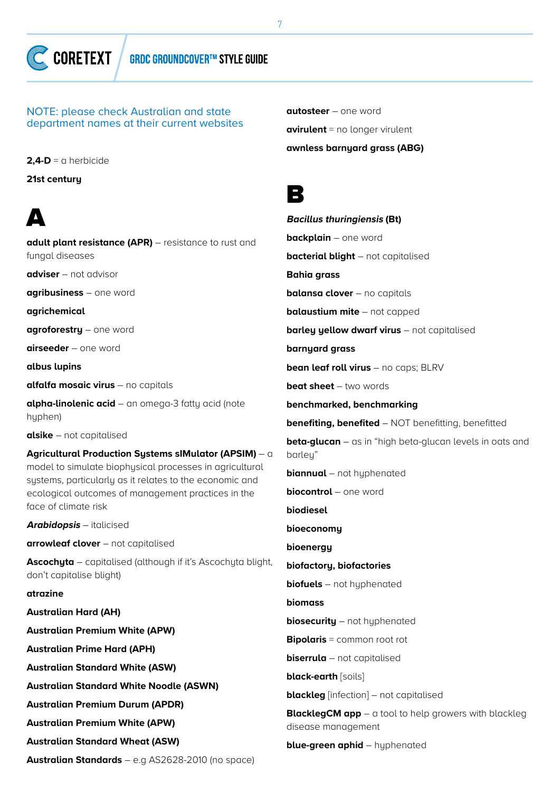

NOTE: please check Australian and state department names at their current websites

**2,4-D** = a herbicide

**21st century**

## A

**adult plant resistance (APR)** – resistance to rust and fungal diseases **adviser** – not advisor **agribusiness** – one word **agrichemical agroforestry** – one word **airseeder** – one word **albus lupins alfalfa mosaic virus** – no capitals **alpha-linolenic acid** – an omega-3 fatty acid (note hyphen) **alsike** – not capitalised **Agricultural Production Systems sIMulator (APSIM)** – a model to simulate biophysical processes in agricultural sustems, particularly as it relates to the economic and ecological outcomes of management practices in the face of climate risk

**Arabidopsis** – italicised

**arrowleaf clover** – not capitalised

**Ascochyta** – capitalised (although if it's Ascochyta blight, don't capitalise blight)

#### **atrazine**

**Australian Hard (AH) Australian Premium White (APW) Australian Prime Hard (APH) Australian Standard White (ASW) Australian Standard White Noodle (ASWN) Australian Premium Durum (APDR) Australian Premium White (APW) Australian Standard Wheat (ASW)**

**Australian Standards** – e.g AS2628-2010 (no space)

**autosteer** – one word **avirulent** = no longer virulent **awnless barnyard grass (ABG)**

## B

**Bacillus thuringiensis (Bt) backplain** – one word **bacterial blight** – not capitalised **Bahia grass balansa clover** – no capitals **balaustium mite** – not capped **barley yellow dwarf virus** – not capitalised **barnyard grass bean leaf roll virus** – no caps; BLRV **beat sheet** – two words **benchmarked, benchmarking benefiting, benefited** – NOT benefitting, benefitted **beta-glucan** – as in "high beta-glucan levels in oats and barley" **biannual** – not huphenated **biocontrol** – one word **biodiesel bioeconomy bioenergy biofactory, biofactories biofuels** – not hyphenated **biomass biosecurity** – not hyphenated **Bipolaris** = common root rot **biserrula** – not capitalised **black-earth** [soils] **blackleg** [infection] – not capitalised **BlacklegCM app** – a tool to help growers with blackleg disease management **blue-green aphid** – hyphenated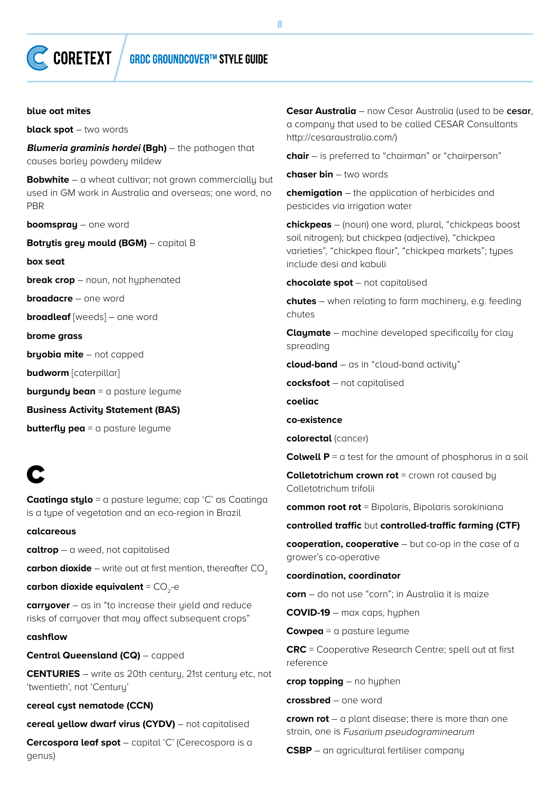#### **blue oat mites**

**black spot** – two words

**Blumeria graminis hordei (Bgh)** – the pathogen that causes barley powdery mildew

**Bobwhite** – a wheat cultivar; not grown commercially but used in GM work in Australia and overseas; one word, no PBR

**boomspray** – one word

**Botrutis grey mould (BGM)** – capital B

**box seat**

**break crop** – noun, not hyphenated

**broadacre** – one word

**broadleaf** [weeds] – one word

**brome grass**

**bryobia mite** – not capped

**budworm** [caterpillar]

**burgundy bean** = a pasture legume

**Business Activity Statement (BAS)**

**butterfly pea** = a pasture legume

## C

**Caatinga stylo** = a pasture legume; cap 'C' as Caatinga is a tupe of vegetation and an eco-region in Brazil

**calcareous**

**caltrop** – a weed, not capitalised

**carbon dioxide** – write out at first mention, thereafter CO<sub>2</sub>

**carbon dioxide equivalent** = CO<sub>2</sub>-e

**carryover** – as in "to increase their yield and reduce risks of carryover that may affect subsequent crops"

#### **cashflow**

**Central Queensland (CQ)** – capped

**CENTURIES** – write as 20th century, 21st century etc, not 'twentieth', not 'Century'

**cereal cyst nematode (CCN)**

**cereal yellow dwarf virus (CYDV)** – not capitalised

**Cercospora leaf spot** – capital 'C' (Cerecospora is a genus)

**Cesar Australia** – now Cesar Australia (used to be **cesar**, a company that used to be called CESAR Consultants http://cesaraustralia.com/)

**chair** – is preferred to "chairman" or "chairperson"

**chaser bin** – two words

**chemigation** – the application of herbicides and pesticides via irrigation water

**chickpeas** – (noun) one word, plural, "chickpeas boost soil nitrogen); but chickpea (adjective), "chickpea varieties", "chickpea flour", "chickpea markets"; types include desi and kabuli

**chocolate spot** – not capitalised

**chutes** – when relating to farm machinery, e.g. feeding chutes

**Claymate** – machine developed specifically for clay spreading

**cloud-band** – as in "cloud-band activity"

**cocksfoot** – not capitalised

**coeliac**

#### **co-existence**

**colorectal** (cancer)

**Colwell P** = a test for the amount of phosphorus in a soil

**Colletotrichum crown rot** = crown rot caused by Colletotrichum trifolii

**common root rot** = Bipolaris, Bipolaris sorokiniana

#### **controlled traffic** but **controlled-traffic farming (CTF)**

**cooperation, cooperative** – but co-op in the case of a grower's co-operative

#### **coordination, coordinator**

**corn** – do not use "corn"; in Australia it is maize

**COVID-19** – max caps, hyphen

**Cowpea** = a pasture legume

**CRC** = Cooperative Research Centre; spell out at first reference

**crop topping** – no hyphen

**crossbred** – one word

**crown rot** – a plant disease; there is more than one strain, one is Fusarium pseudograminearum

**CSBP** – an agricultural fertiliser company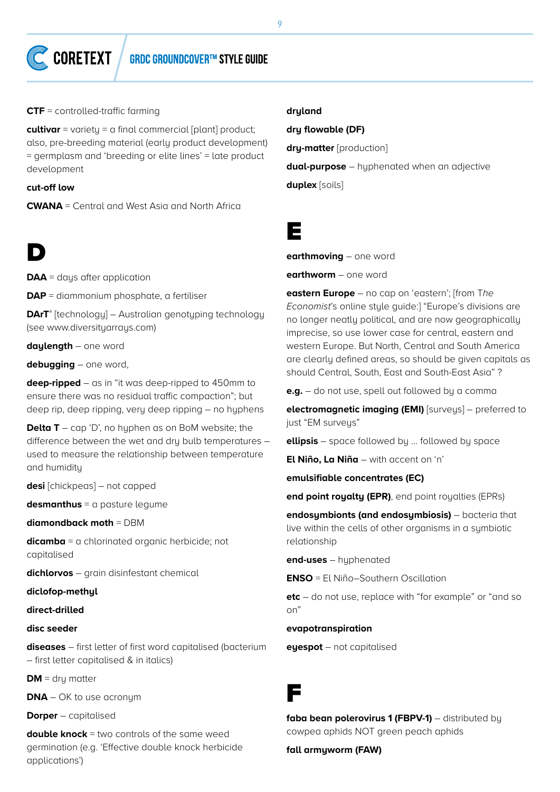

**CTF** = controlled-traffic farming

**cultivar** = variety = a final commercial [plant] product; also, pre-breeding material (early product development) = germplasm and 'breeding or elite lines' = late product development

**cut-off low**

**CWANA** = Central and West Asia and North Africa



**DAA** = days after application

**DAP** = diammonium phosphate, a fertiliser

**DArT®** [technology] – Australian genotyping technology (see www.diversityarrays.com)

**daylength** – one word

**debugging** – one word,

**deep-ripped** – as in "it was deep-ripped to 450mm to ensure there was no residual traffic compaction"; but deep rip, deep ripping, very deep ripping – no hyphens

**Delta T** – cap 'D', no huphen as on BoM website; the difference between the wet and dry bulb temperatures – used to measure the relationship between temperature and humidity

**desi** [chickpeas] – not capped

**desmanthus** = a pasture legume

**diamondback moth** = DBM

**dicamba** = a chlorinated organic herbicide; not capitalised

**dichlorvos** – grain disinfestant chemical

**diclofop-methyl**

#### **direct-drilled**

#### **disc seeder**

**diseases** – first letter of first word capitalised (bacterium – first letter capitalised & in italics)

**DM** = dry matter

**DNA** – OK to use acronum

**Dorper** – capitalised

**double knock** = two controls of the same weed germination (e.g. 'Effective double knock herbicide applications')

#### **dryland**

**dry flowable (DF)**

**dry-matter** [production]

**dual-purpose** – hyphenated when an adjective

**duplex** [soils]

## E

**earthmoving** – one word

**earthworm** – one word

**eastern Europe** – no cap on 'eastern'; [from T*he Economist*'s online style guide:] "Europe's divisions are no longer neatly political, and are now geographically imprecise, so use lower case for central, eastern and western Europe. But North, Central and South America are clearly defined areas, so should be given capitals as should Central, South, East and South-East Asia" ?

**e.g.** – do not use, spell out followed by a comma

**electromagnetic imaging (EMI)** [surveys] – preferred to just "EM surveys"

**ellipsis** – space followed by … followed by space

**El Niño, La Niña** – with accent on 'n'

**emulsifiable concentrates (EC)**

**end point royalty (EPR)**, end point royalties (EPRs)

**endosymbionts (and endosymbiosis)** – bacteria that live within the cells of other organisms in a symbiotic relationship

**end-uses** – hyphenated

**ENSO** = El Niño–Southern Oscillation

**etc** – do not use, replace with "for example" or "and so on"

#### **evapotranspiration**

**eyespot** – not capitalised

## F

faba bean polerovirus 1 (FBPV-1) – distributed by cowpea aphids NOT green peach aphids

**fall armyworm (FAW)**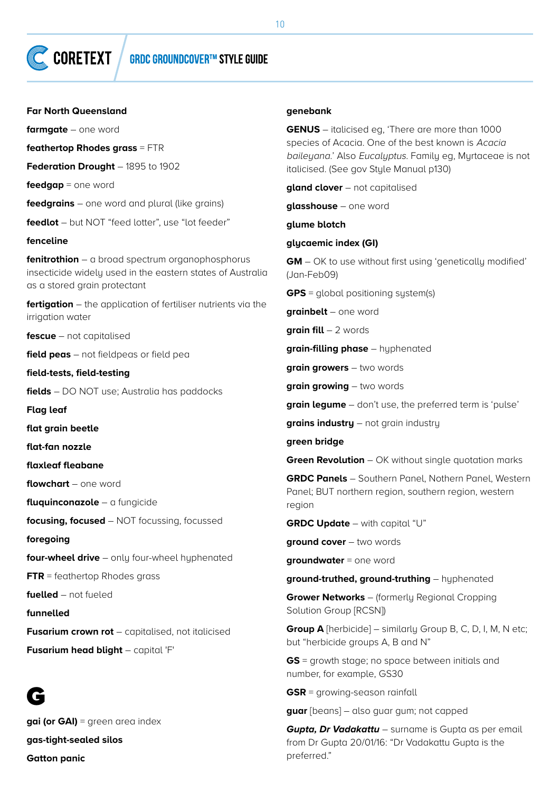#### **Far North Queensland**

**farmgate** – one word

**feathertop Rhodes grass** = FTR

**Federation Drought** – 1895 to 1902

**feedgap** = one word

**feedgrains** – one word and plural (like grains)

**feedlot** – but NOT "feed lotter", use "lot feeder"

#### **fenceline**

**fenitrothion** – a broad spectrum organophosphorus insecticide widely used in the eastern states of Australia as a stored grain protectant

**fertigation** – the application of fertiliser nutrients via the irrigation water

**fescue** – not capitalised

**field peas** – not fieldpeas or field pea

**field-tests, field-testing**

**fields** – DO NOT use; Australia has paddocks

**Flag leaf**

**flat grain beetle**

**flat-fan nozzle**

**flaxleaf fleabane**

**flowchart** – one word

**fluquinconazole** – a fungicide

**focusing, focused** – NOT focussing, focussed

**foregoing**

**four-wheel drive** – only four-wheel hyphenated

**FTR** = feathertop Rhodes grass

**fuelled** – not fueled

**funnelled**

**Fusarium crown rot** – capitalised, not italicised

**Fusarium head blight** – capital 'F'

## G

**gai (or GAI)** = green area index **gas-tight-sealed silos Gatton panic**

#### **genebank**

**GENUS** – italicised eg, 'There are more than 1000 species of Acacia. One of the best known is Acacia baileyana.' Also Eucalyptus. Family eg, Myrtaceae is not italicised. (See gov Style Manual p130)

**gland clover** – not capitalised

**glasshouse** – one word

#### **glume blotch**

#### **glycaemic index (GI)**

**GM** – OK to use without first using 'genetically modified' (Jan-Feb09)

**GPS** = global positioning system(s)

**grainbelt** – one word

**grain fill** – 2 words

**grain-filling phase** – hyphenated

**grain growers** – two words

**grain growing** – two words

**grain legume** – don't use, the preferred term is 'pulse'

**grains industry** – not grain industry

**green bridge**

**Green Revolution** – OK without single quotation marks

**GRDC Panels** – Southern Panel, Nothern Panel, Western Panel; BUT northern region, southern region, western region

**GRDC Update** – with capital "U"

**ground cover** – two words

**groundwater** = one word

**ground-truthed, ground-truthing** – hyphenated

**Grower Networks** – (formerly Regional Cropping Solution Group [RCSN])

**Group A** [herbicide] – similarly Group B, C, D, I, M, N etc; but "herbicide groups A, B and N"

**GS** = growth stage; no space between initials and number, for example, GS30

**GSR** = growing-season rainfall

**guar** [beans] – also guar gum; not capped

*Gupta, Dr Vadakattu* – surname is Gupta as per email from Dr Gupta 20/01/16: "Dr Vadakattu Gupta is the preferred."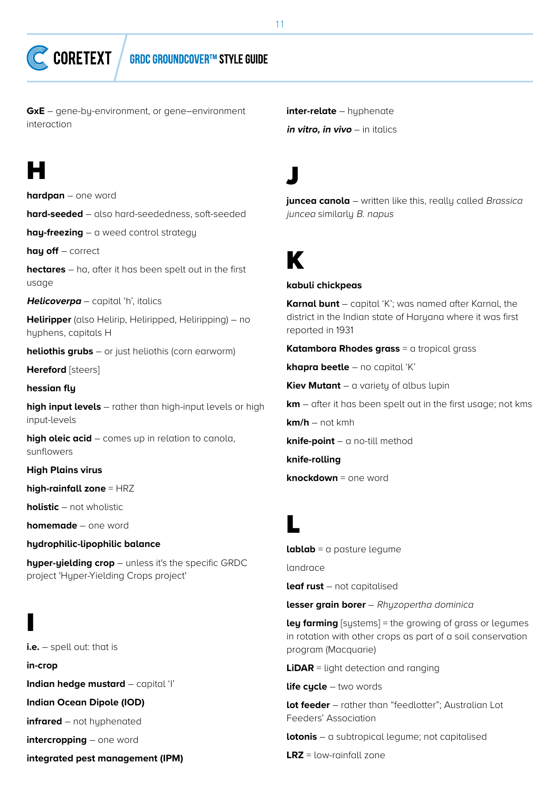**GxE** – gene-by-environment, or gene–environment interaction

## H

**hardpan** – one word

**hard-seeded** – also hard-seededness, soft-seeded

**hay-freezing** – a weed control strategy

**hay off** – correct

**hectares** – ha, after it has been spelt out in the first usage

**Helicoverpa** – capital 'h', italics

**Heliripper** (also Helirip, Heliripped, Heliripping) – no hyphens, capitals H

**heliothis grubs** – or just heliothis (corn earworm)

**Hereford** [steers]

**hessian fly**

**high input levels** – rather than high-input levels or high input-levels

**high oleic acid** – comes up in relation to canola, sunflowers

**High Plains virus**

**high-rainfall zone** = HRZ

**holistic** – not wholistic

**homemade** – one word

**hydrophilic-lipophilic balance**

**hyper-yielding crop** – unless it's the specific GRDC project 'Hyper-Yielding Crops project'

I **i.e.** – spell out: that is **in-crop Indian hedge mustard** – capital 'I' **Indian Ocean Dipole (IOD) infrared** – not hyphenated **intercropping** – one word **integrated pest management (IPM)** **inter-relate** – huphenate **in vitro, in vivo** – in italics

J

**juncea canola** – written like this, really called Brassica juncea similarly B. napus

## K

#### **kabuli chickpeas**

**Karnal bunt** – capital 'K'; was named after Karnal, the district in the Indian state of Haryana where it was first reported in 1931

**Katambora Rhodes grass** = a tropical grass

**khapra beetle** – no capital 'K'

**Kiev Mutant** – a variety of albus lupin

**km** – after it has been spelt out in the first usage; not kms

**km/h** – not kmh

**knife-point** – a no-till method

**knife-rolling**

**knockdown** = one word

## L

**lablab** = a pasture legume

landrace

**leaf rust** – not capitalised

**lesser grain borer** – Rhyzopertha dominica

**ley farming** [sustems] = the growing of grass or legumes in rotation with other crops as part of a soil conservation program (Macquarie)

**LiDAR** = light detection and ranging

**life cucle** – two words

**lot feeder** – rather than "feedlotter"; Australian Lot Feeders' Association

**lotonis** – a subtropical legume; not capitalised

**LRZ** = low-rainfall zone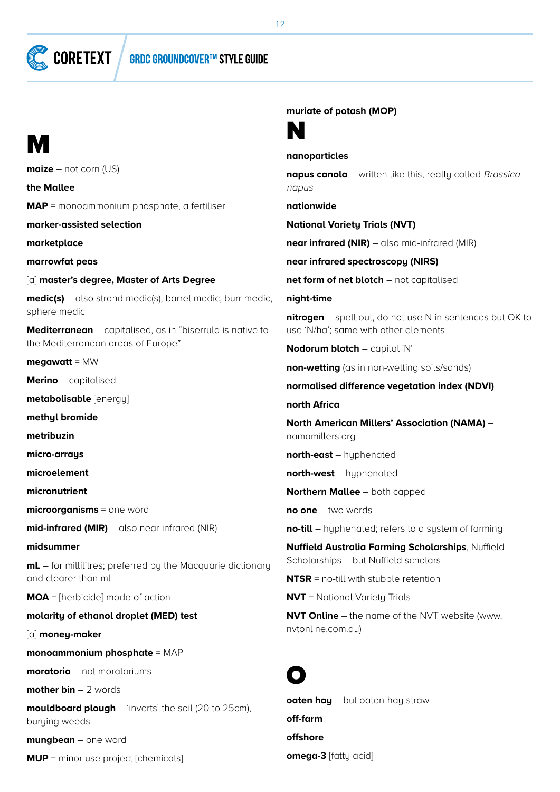**GRDC GROUNDCOVER™ STYLE GUIDE** 

## M

**maize** – not corn (US)

**CORETEXT** 

**the Mallee MAP** = monoammonium phosphate, a fertiliser

**marker-assisted selection**

**marketplace**

**marrowfat peas**

[a] **master's degree, Master of Arts Degree**

**medic(s)** – also strand medic(s), barrel medic, burr medic, sphere medic

**Mediterranean** – capitalised, as in "biserrula is native to the Mediterranean areas of Europe"

**megawatt** = MW

**Merino** – capitalised

**metabolisable** [energy]

**methyl bromide**

**metribuzin**

**micro-arrays**

**microelement**

**micronutrient**

**microorganisms** = one word

**mid-infrared (MIR)** – also near infrared (NIR)

#### **midsummer**

**mL** – for millilitres; preferred by the Macquarie dictionary and clearer than ml

**MOA** = [herbicide] mode of action

### **molarity of ethanol droplet (MED) test**

[a] **money-maker**

**monoammonium phosphate** = MAP

**moratoria** – not moratoriums

**mother bin** – 2 words

**mouldboard plough** – 'inverts' the soil (20 to 25cm), burying weeds

**mungbean** – one word

**MUP** = minor use project [chemicals]

**muriate of potash (MOP)**



#### **nanoparticles**

**napus canola** – written like this, really called Brassica napus

**nationwide**

**National Variety Trials (NVT)**

**near infrared (NIR)** – also mid-infrared (MIR)

**near infrared spectroscopy (NIRS)**

**net form of net blotch** – not capitalised

**night-time**

**nitrogen** – spell out, do not use N in sentences but OK to use 'N/ha'; same with other elements

**Nodorum blotch** – capital 'N'

**non-wetting** (as in non-wetting soils/sands)

**normalised difference vegetation index (NDVI)**

**north Africa**

**North American Millers' Association (NAMA)** – namamillers.org

**north-east** – hyphenated

**north-west** – hyphenated

**Northern Mallee** – both capped

**no one** – two words

**no-till** – hyphenated; refers to a system of farming

**Nuffield Australia Farming Scholarships**, Nuffield Scholarships – but Nuffield scholars

**NTSR** = no-till with stubble retention

**NVT** = National Varietu Trials

**NVT Online** – the name of the NVT website (www. nvtonline.com.au)

## O

**oaten hay** – but oaten-hay straw **off-farm offshore omega-3** [fatty acid]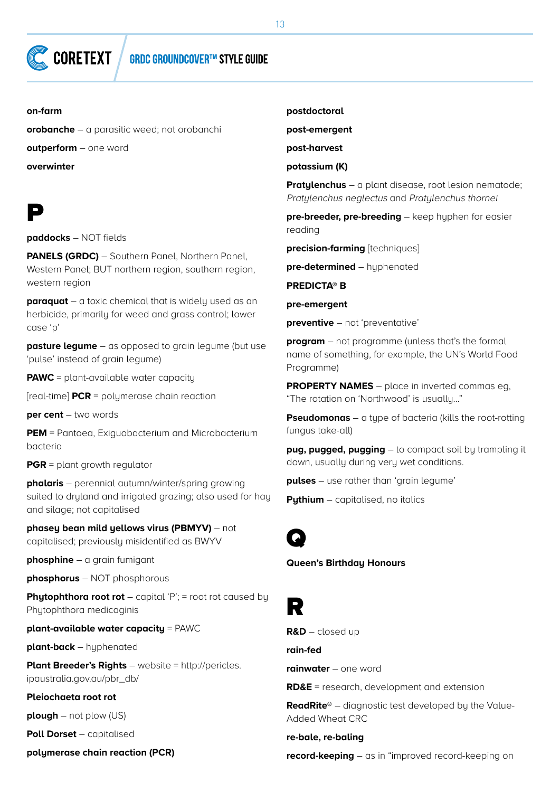#### **on-farm**

**orobanche** – a parasitic weed; not orobanchi

**outperform** – one word

**overwinter**

## P

**paddocks** – NOT fields

**PANELS (GRDC)** – Southern Panel, Northern Panel, Western Panel; BUT northern region, southern region, western region

**paraquat** – a toxic chemical that is widely used as an herbicide, primarily for weed and grass control; lower case 'p'

**pasture legume** – as opposed to grain legume (but use 'pulse' instead of grain legume)

**PAWC** = plant-available water capacity

[real-time] **PCR** = polymerase chain reaction

**per cent** – two words

**PEM** = Pantoea, Exiguobacterium and Microbacterium bacteria

**PGR** = plant growth regulator

**phalaris** – perennial autumn/winter/spring growing suited to dryland and irrigated grazing; also used for hay and silage; not capitalised

**phasey bean mild yellows virus (PBMYV)** – not capitalised; previously misidentified as BWYV

**phosphine** – a grain fumigant

**phosphorus** – NOT phosphorous

**Phytophthora root rot** – capital 'P'; = root rot caused by Phytophthora medicaginis

**plant-available water capacity** = PAWC

**plant-back** – hyphenated

**Plant Breeder's Rights** – website = http://pericles. ipaustralia.gov.au/pbr\_db/

#### **Pleiochaeta root rot**

**plough** – not plow (US)

**Poll Dorset** – capitalised

**polymerase chain reaction (PCR)**

**postdoctoral**

**post-emergent**

**post-harvest**

**potassium (K)**

**Pratylenchus** – a plant disease, root lesion nematode; Pratylenchus neglectus and Pratylenchus thornei

**pre-breeder, pre-breeding** – keep hyphen for easier reading

**precision-farming** [techniques]

**pre-determined** – hyphenated

**PREDICTA® B**

**pre-emergent**

**preventive** – not 'preventative'

**program** – not programme (unless that's the formal name of something, for example, the UN's World Food Programme)

**PROPERTY NAMES** – place in inverted commas eg, "The rotation on 'Northwood' is usually…"

**Pseudomonas** – a type of bacteria (kills the root-rotting fungus take-all)

**pug, pugged, pugging** – to compact soil by trampling it down, usually during very wet conditions.

**pulses** – use rather than 'grain legume'

**Pythium** – capitalised, no italics



**Queen's Birthday Honours**

R

**R&D** – closed up

**rain-fed**

**rainwater** – one word

**RD&E** = research, development and extension

**ReadRite®** – diagnostic test developed by the Value-Added Wheat CRC

**re-bale, re-baling**

**record-keeping** – as in "improved record-keeping on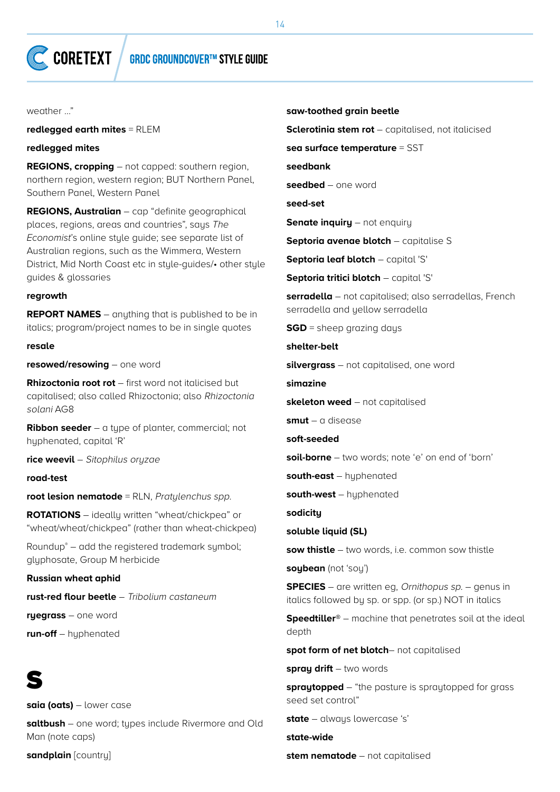weather …"

**redlegged earth mites** = RLEM

**redlegged mites**

**REGIONS, cropping** – not capped: southern region, northern region, western region; BUT Northern Panel, Southern Panel, Western Panel

**REGIONS, Australian** – cap "definite geographical places, regions, areas and countries", says *The Economist*'s online style guide; see separate list of Australian regions, such as the Wimmera, Western District, Mid North Coast etc in stule-guides/• other stule guides & glossaries

#### **regrowth**

**REPORT NAMES** – anything that is published to be in italics; program/project names to be in single quotes

#### **resale**

**resowed/resowing** – one word

**Rhizoctonia root rot** – first word not italicised but capitalised; also called Rhizoctonia; also Rhizoctonia solani AG8

**Ribbon seeder** – a tupe of planter, commercial; not hyphenated, capital 'R'

**rice weevil** – Sitophilus oryzae

**road-test**

**root lesion nematode** = RLN, Pratylenchus spp.

**ROTATIONS** – ideally written "wheat/chickpea" or "wheat/wheat/chickpea" (rather than wheat-chickpea)

Roundup® – add the registered trademark symbol; glyphosate, Group M herbicide

**Russian wheat aphid**

**rust-red flour beetle** – Tribolium castaneum

**ryegrass** – one word

**run-off** – hyphenated

## S

**saia (oats)** – lower case

**saltbush** – one word; types include Rivermore and Old Man (note caps)

**sandplain** [country]

#### **saw-toothed grain beetle**

**Sclerotinia stem rot** – capitalised, not italicised

**sea surface temperature** = SST

**seedbank**

**seedbed** – one word

**seed-set**

**Senate inquiry** – not enquiry

**Septoria avenae blotch** – capitalise S

**Septoria leaf blotch** – capital 'S'

**Septoria tritici blotch** – capital 'S'

**serradella** – not capitalised; also serradellas, French serradella and yellow serradella

**SGD** = sheep grazing days

**shelter-belt**

**silvergrass** – not capitalised, one word

**simazine**

**skeleton weed** – not capitalised

**smut** – a disease

**soft-seeded**

**soil-borne** – two words; note 'e' on end of 'born'

**south-east** – hyphenated

**south-west** – hyphenated

**sodicity**

**soluble liquid (SL)** 

**sow thistle** – two words, i.e. common sow thistle

**soybean** (not 'soy')

**SPECIES** – are written eg, Ornithopus sp. – genus in italics followed by sp. or spp. (or sp.) NOT in italics

**Speedtiller®** – machine that penetrates soil at the ideal depth

**spot form of net blotch**– not capitalised

**spray drift** – two words

**spraytopped** – "the pasture is spraytopped for grass seed set control"

state – always lowercase 's'

**state-wide**

**stem nematode** – not capitalised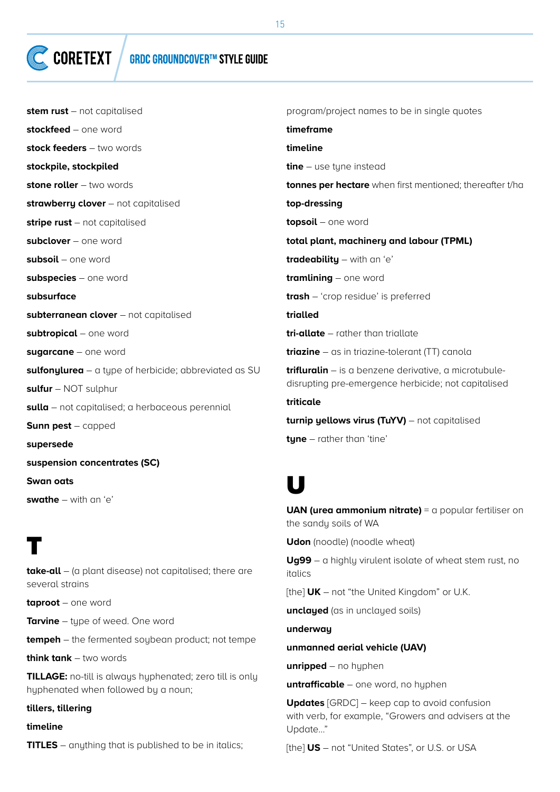## **GRDC GROUNDCOVER™ STYLE GUIDE**

| stem rust - not capitalised                           | program/project names to be in single quotes                                                                 |
|-------------------------------------------------------|--------------------------------------------------------------------------------------------------------------|
| stockfeed - one word                                  | timeframe                                                                                                    |
| stock feeders $-$ two words                           | timeline                                                                                                     |
| stockpile, stockpiled                                 | <b>tine</b> $-$ use tyne instead                                                                             |
| stone roller - two words                              | tonnes per hectare when first mentioned; thereafter t/ha                                                     |
| strawberry clover - not capitalised                   | top-dressing                                                                                                 |
| <b>stripe rust</b> $-$ not capitalised                | topsoil - one word                                                                                           |
| subclover - one word                                  | total plant, machinery and labour (TPML)                                                                     |
| subsoil - one word                                    | tradeability - with an 'e'                                                                                   |
| subspecies - one word                                 | $training - one word$                                                                                        |
| subsurface                                            | <b>trash</b> - 'crop residue' is preferred                                                                   |
| subterranean clover - not capitalised                 | trialled                                                                                                     |
| subtropical - one word                                | <b>tri-allate</b> – rather than triallate                                                                    |
| sugarcane - one word                                  | <b>triazine</b> $-$ as in triazine-tolerant (TT) canola                                                      |
| sulfonylurea - a type of herbicide; abbreviated as SU | trifluralin - is a benzene derivative, a microtubule-<br>disrupting pre-emergence herbicide; not capitalised |
| <b>sulfur</b> $-$ NOT sulphur                         |                                                                                                              |
| sulla - not capitalised; a herbaceous perennial       | triticale                                                                                                    |
| <b>Sunn pest</b> $-$ capped                           | turnip yellows virus (TuYV) – not capitalised                                                                |
| supersede                                             | $type$ - rather than 'tine'                                                                                  |
| suspension concentrates (SC)                          |                                                                                                              |

**swathe** – with an 'e'

**Swan oats**

## T

**take-all** – (a plant disease) not capitalised; there are several strains

**taproot** – one word

**Tarvine** – type of weed. One word

**tempeh** – the fermented soybean product; not tempe

**think tank** – two words

**TILLAGE:** no-till is always hyphenated; zero till is only hyphenated when followed by a noun;

#### **tillers, tillering**

## **timeline**

**TITLES** – anything that is published to be in italics;

**U** 

**UAN (urea ammonium nitrate)** = a popular fertiliser on the sandy soils of WA

**Udon** (noodle) (noodle wheat)

**Ug99** – a highly virulent isolate of wheat stem rust, no italics

[the] **UK** – not "the United Kingdom" or U.K.

**unclayed** (as in unclayed soils)

**underway**

#### **unmanned aerial vehicle (UAV)**

**unripped** – no hyphen

**untrafficable** – one word, no hyphen

**Updates** [GRDC] – keep cap to avoid confusion with verb, for example, "Growers and advisers at the Update…"

[the] **US** – not "United States", or U.S. or USA